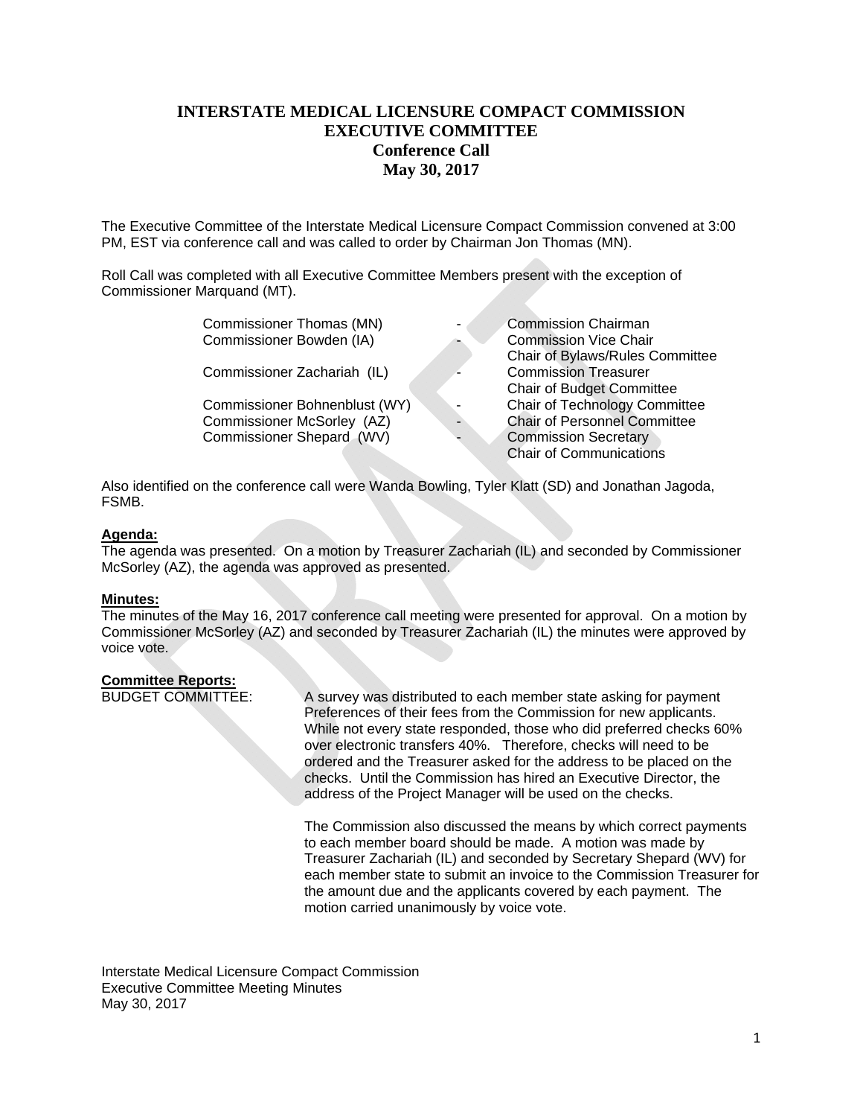# **INTERSTATE MEDICAL LICENSURE COMPACT COMMISSION EXECUTIVE COMMITTEE Conference Call May 30, 2017**

The Executive Committee of the Interstate Medical Licensure Compact Commission convened at 3:00 PM, EST via conference call and was called to order by Chairman Jon Thomas (MN).

Roll Call was completed with all Executive Committee Members present with the exception of Commissioner Marquand (MT).

| <b>Commission Chairman</b><br>Commissioner Thomas (MN)            |
|-------------------------------------------------------------------|
| <b>Commission Vice Chair</b>                                      |
| Chair of Bylaws/Rules Committee                                   |
| <b>Commission Treasurer</b><br>Commissioner Zachariah (IL)        |
| <b>Chair of Budget Committee</b>                                  |
| Chair of Technology Committee<br>Commissioner Bohnenblust (WY)    |
| <b>Chair of Personnel Committee</b><br>Commissioner McSorley (AZ) |
| Commissioner Shepard (WV)<br><b>Commission Secretary</b>          |
| <b>Chair of Communications</b>                                    |
|                                                                   |

Also identified on the conference call were Wanda Bowling, Tyler Klatt (SD) and Jonathan Jagoda, FSMB.

## **Agenda:**

The agenda was presented. On a motion by Treasurer Zachariah (IL) and seconded by Commissioner McSorley (AZ), the agenda was approved as presented.

#### **Minutes:**

The minutes of the May 16, 2017 conference call meeting were presented for approval. On a motion by Commissioner McSorley (AZ) and seconded by Treasurer Zachariah (IL) the minutes were approved by voice vote.

### **Committee Reports:**

BUDGET COMMITTEE: A survey was distributed to each member state asking for payment Preferences of their fees from the Commission for new applicants. While not every state responded, those who did preferred checks 60% over electronic transfers 40%. Therefore, checks will need to be ordered and the Treasurer asked for the address to be placed on the checks. Until the Commission has hired an Executive Director, the address of the Project Manager will be used on the checks.

> The Commission also discussed the means by which correct payments to each member board should be made. A motion was made by Treasurer Zachariah (IL) and seconded by Secretary Shepard (WV) for each member state to submit an invoice to the Commission Treasurer for the amount due and the applicants covered by each payment. The motion carried unanimously by voice vote.

Interstate Medical Licensure Compact Commission Executive Committee Meeting Minutes May 30, 2017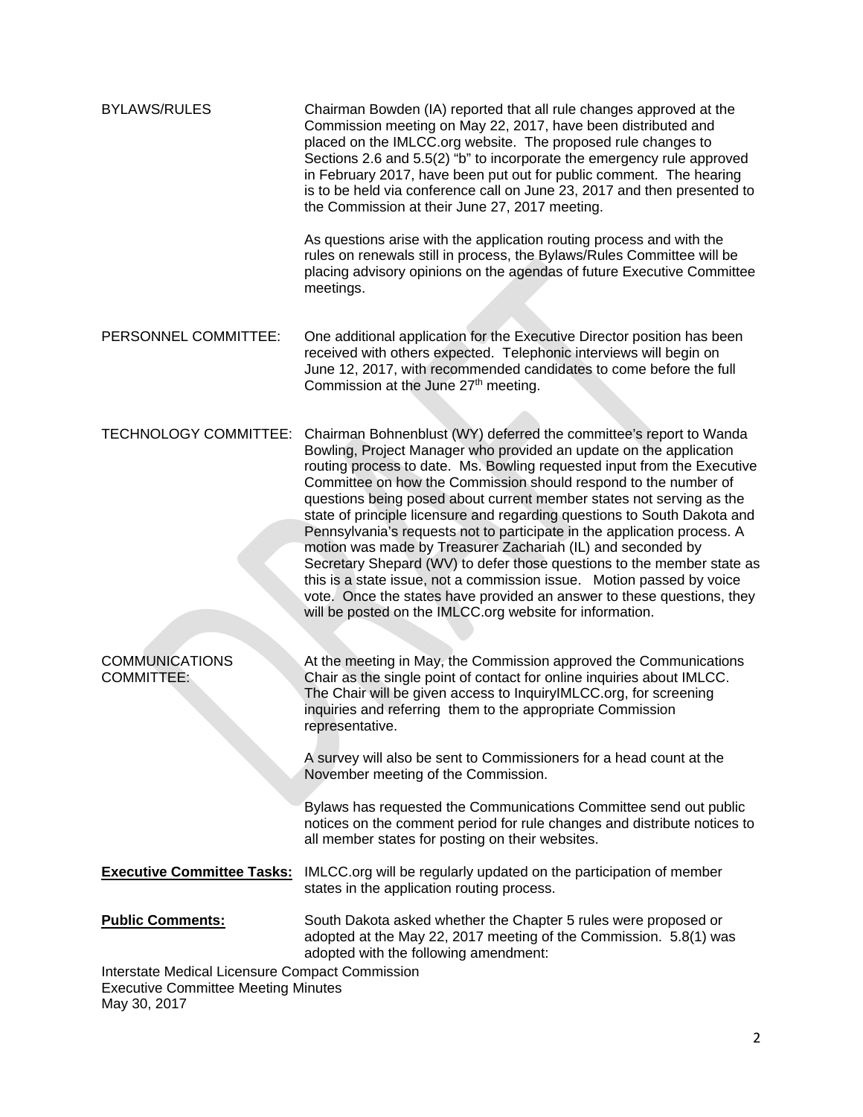| <b>BYLAWS/RULES</b>                                                                                           | Chairman Bowden (IA) reported that all rule changes approved at the<br>Commission meeting on May 22, 2017, have been distributed and<br>placed on the IMLCC.org website. The proposed rule changes to<br>Sections 2.6 and 5.5(2) "b" to incorporate the emergency rule approved<br>in February 2017, have been put out for public comment. The hearing<br>is to be held via conference call on June 23, 2017 and then presented to<br>the Commission at their June 27, 2017 meeting.<br>As questions arise with the application routing process and with the<br>rules on renewals still in process, the Bylaws/Rules Committee will be<br>placing advisory opinions on the agendas of future Executive Committee<br>meetings.                                                                                                                                                  |
|---------------------------------------------------------------------------------------------------------------|--------------------------------------------------------------------------------------------------------------------------------------------------------------------------------------------------------------------------------------------------------------------------------------------------------------------------------------------------------------------------------------------------------------------------------------------------------------------------------------------------------------------------------------------------------------------------------------------------------------------------------------------------------------------------------------------------------------------------------------------------------------------------------------------------------------------------------------------------------------------------------|
|                                                                                                               |                                                                                                                                                                                                                                                                                                                                                                                                                                                                                                                                                                                                                                                                                                                                                                                                                                                                                |
| PERSONNEL COMMITTEE:                                                                                          | One additional application for the Executive Director position has been<br>received with others expected. Telephonic interviews will begin on<br>June 12, 2017, with recommended candidates to come before the full<br>Commission at the June 27th meeting.                                                                                                                                                                                                                                                                                                                                                                                                                                                                                                                                                                                                                    |
| TECHNOLOGY COMMITTEE:                                                                                         | Chairman Bohnenblust (WY) deferred the committee's report to Wanda<br>Bowling, Project Manager who provided an update on the application<br>routing process to date. Ms. Bowling requested input from the Executive<br>Committee on how the Commission should respond to the number of<br>questions being posed about current member states not serving as the<br>state of principle licensure and regarding questions to South Dakota and<br>Pennsylvania's requests not to participate in the application process. A<br>motion was made by Treasurer Zachariah (IL) and seconded by<br>Secretary Shepard (WV) to defer those questions to the member state as<br>this is a state issue, not a commission issue. Motion passed by voice<br>vote. Once the states have provided an answer to these questions, they<br>will be posted on the IMLCC.org website for information. |
| <b>COMMUNICATIONS</b><br><b>COMMITTEE:</b>                                                                    | At the meeting in May, the Commission approved the Communications<br>Chair as the single point of contact for online inquiries about IMLCC.<br>The Chair will be given access to InquiryIMLCC.org, for screening<br>inquiries and referring them to the appropriate Commission<br>representative.<br>A survey will also be sent to Commissioners for a head count at the<br>November meeting of the Commission.<br>Bylaws has requested the Communications Committee send out public<br>notices on the comment period for rule changes and distribute notices to<br>all member states for posting on their websites.                                                                                                                                                                                                                                                           |
|                                                                                                               | <b>Executive Committee Tasks:</b> IMLCC.org will be regularly updated on the participation of member<br>states in the application routing process.                                                                                                                                                                                                                                                                                                                                                                                                                                                                                                                                                                                                                                                                                                                             |
| <b>Public Comments:</b>                                                                                       | South Dakota asked whether the Chapter 5 rules were proposed or<br>adopted at the May 22, 2017 meeting of the Commission. 5.8(1) was<br>adopted with the following amendment:                                                                                                                                                                                                                                                                                                                                                                                                                                                                                                                                                                                                                                                                                                  |
| Interstate Medical Licensure Compact Commission<br><b>Executive Committee Meeting Minutes</b><br>May 30, 2017 |                                                                                                                                                                                                                                                                                                                                                                                                                                                                                                                                                                                                                                                                                                                                                                                                                                                                                |